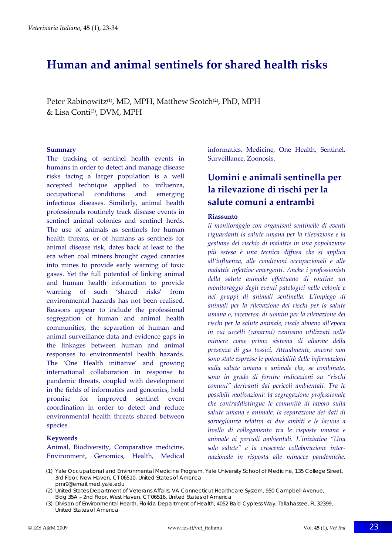# **Human and animal sentinels for shared health risks**

Peter Rabinowitz<sup>(1)</sup>, MD, MPH, Matthew Scotch<sup>(2)</sup>, PhD, MPH & Lisa Conti<sup>(3)</sup>, DVM, MPH

#### **Summary**

The tracking of sentinel health events in humans in order to detect and manage disease risks facing a larger population is a well accepted technique applied to influenza, occupational conditions and emerging infectious diseases. Similarly, animal health professionals routinely track disease events in sentinel animal colonies and sentinel herds. The use of animals as sentinels for human health threats, or of humans as sentinels for animal disease risk, dates back at least to the era when coal miners brought caged canaries into mines to provide early warning of toxic gases. Yet the full potential of linking animal and human health information to provide warning of such 'shared risks' from environmental hazards has not been realised. Reasons appear to include the professional segregation of human and animal health communities, the separation of human and animal surveillance data and evidence gaps in the linkages between human and animal responses to environmental health hazards. The 'One Health initiative' and growing international collaboration in response to pandemic threats, coupled with development in the fields of informatics and genomics, hold promise for improved sentinel event coordination in order to detect and reduce environmental health threats shared between species.

#### **Keywords**

Animal, Biodiversity, Comparative medicine, Environment, Genomics, Health, Medical informatics, Medicine, One Health, Sentinel, Surveillance, Zoonosis.

# **Uomini e animali sentinella per la rilevazione di rischi per la salute comuni a entrambi**

#### **Riassunto**

*Il monitoraggio con organismi sentinelle di eventi riguardanti la salute umana per la rilevazione e la gestione del rischio di malattie in una popolazione più estesa è una tecnica diffusa che si applica all'influenza, alle condizioni occupazionali e alle malattie infettive emergenti. Anche i professionisti della salute animale effettuano di routine un monitoraggio degli eventi patologici nelle colonie e nei gruppi di animali sentinella. L'impiego di animali per la rilevazione dei rischi per la salute umana o, viceversa, di uomini per la rilevazione dei rischi per la salute animale, risale almeno all'epoca in cui uccelli (canarini) venivano utilizzati nelle miniere come primo sistema di allarme della presenza di gas tossici. Attualmente, ancora non sono state espresse le potenzialità delle informazioni sulla salute umana e animale che, se combinate, sono in grado di fornire indicazioni su "rischi comuni" derivanti dai pericoli ambientali. Tra le possibili motivazioni: la segregazione professionale che contraddistingue le comunità di lavoro sulla salute umana e animale, la separazione dei dati di sorveglianza relativi ai due ambiti e le lacune a livello di collegamento tra le risposte umana e animale ai pericoli ambientali. L'iniziativa "Una sola salute" e la crescente collaborazione inter‐ nazionale in risposta alle minacce pandemiche,*

<sup>(1)</sup> Yale Occupational and Environmental Medicine Program, Yale University School of Medicine, 135 College Street, 3rd Floor, New Haven, CT 06510, United States of America pmr9@email.med.yale.edu

<sup>(2)</sup> United States Department of Veterans Affairs, VA Connecticut Healthcare System, 950 Campbell Avenue, Bldg 35A – 2nd Floor, West Haven, CT 06516, United States of America

<sup>(3)</sup> Division of Environmental Health, Florida Department of Health, 4052 Bald Cypress Way, Tallahassee, FL 32399, United States of America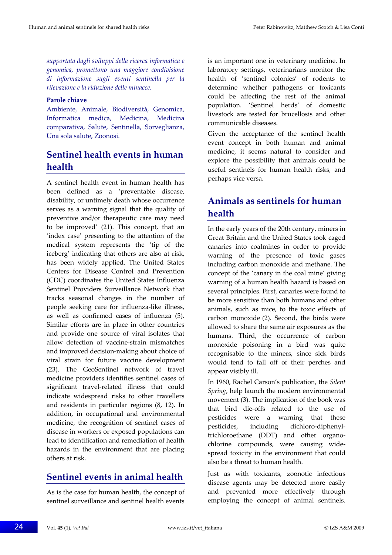*supportata dagli sviluppi della ricerca informatica e genomica, promettono una maggiore condivisione di informazione sugli eventi sentinella per la rilevazione e la riduzione delle minacce.*

#### **Parole chiave**

Ambiente, Animale, Biodiversità, Genomica, Informatica medica, Medicina, Medicina comparativa, Salute, Sentinella, Sorveglianza, Una sola salute, Zoonosi.

# **Sentinel health events in human health**

A sentinel health event in human health has been defined as a 'preventable disease, disability, or untimely death whose occurrence serves as a warning signal that the quality of preventive and/or therapeutic care may need to be improved' (21). This concept, that an 'index case' presenting to the attention of the medical system represents the 'tip of the iceberg' indicating that others are also at risk, has been widely applied. The United States Centers for Disease Control and Prevention (CDC) coordinates the United States Influenza Sentinel Providers Surveillance Network that tracks seasonal changes in the number of people seeking care for influenza‐like illness, as well as confirmed cases of influenza (5). Similar efforts are in place in other countries and provide one source of viral isolates that allow detection of vaccine‐strain mismatches and improved decision‐making about choice of viral strain for future vaccine development (23). The GeoSentinel network of travel medicine providers identifies sentinel cases of significant travel‐related illness that could indicate widespread risks to other travellers and residents in particular regions (8, 12). In addition, in occupational and environmental medicine, the recognition of sentinel cases of disease in workers or exposed populations can lead to identification and remediation of health hazards in the environment that are placing others at risk.

# **Sentinel events in animal health**

As is the case for human health, the concept of sentinel surveillance and sentinel health events is an important one in veterinary medicine. In laboratory settings, veterinarians monitor the health of 'sentinel colonies' of rodents to determine whether pathogens or toxicants could be affecting the rest of the animal population. 'Sentinel herds' of domestic livestock are tested for brucellosis and other communicable diseases.

Given the acceptance of the sentinel health event concept in both human and animal medicine, it seems natural to consider and explore the possibility that animals could be useful sentinels for human health risks, and perhaps vice versa.

# **Animals as sentinels for human health**

In the early years of the 20th century, miners in Great Britain and the United States took caged canaries into coalmines in order to provide warning of the presence of toxic gases including carbon monoxide and methane. The concept of the 'canary in the coal mine' giving warning of a human health hazard is based on several principles. First, canaries were found to be more sensitive than both humans and other animals, such as mice, to the toxic effects of carbon monoxide (2). Second, the birds were allowed to share the same air exposures as the humans. Third, the occurrence of carbon monoxide poisoning in a bird was quite recognisable to the miners, since sick birds would tend to fall off of their perches and appear visibly ill.

In 1960, Rachel Carson's publication, the *Silent Spring*, help launch the modern environmental movement (3). The implication of the book was that bird die‐offs related to the use of pesticides were a warning that these pesticides, including dichloro‐diphenyl‐ trichloroethane (DDT) and other organo‐ chlorine compounds, were causing wide‐ spread toxicity in the environment that could also be a threat to human health.

Just as with toxicants, zoonotic infectious disease agents may be detected more easily and prevented more effectively through employing the concept of animal sentinels.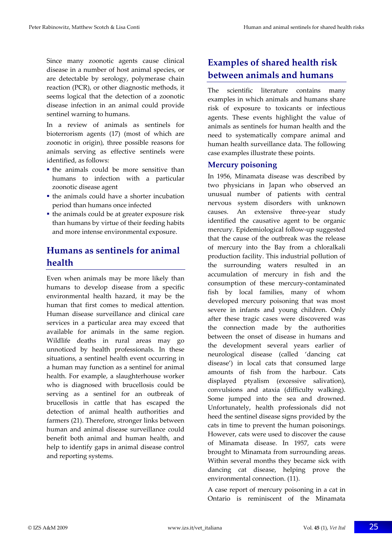Since many zoonotic agents cause clinical disease in a number of host animal species, or are detectable by serology, polymerase chain reaction (PCR), or other diagnostic methods, it seems logical that the detection of a zoonotic disease infection in an animal could provide sentinel warning to humans.

In a review of animals as sentinels for bioterrorism agents (17) (most of which are zoonotic in origin), three possible reasons for animals serving as effective sentinels were identified, as follows:

- the animals could be more sensitive than humans to infection with a particular zoonotic disease agent
- the animals could have a shorter incubation period than humans once infected
- the animals could be at greater exposure risk than humans by virtue of their feeding habits and more intense environmental exposure.

## **Humans as sentinels for animal health**

Even when animals may be more likely than humans to develop disease from a specific environmental health hazard, it may be the human that first comes to medical attention. Human disease surveillance and clinical care services in a particular area may exceed that available for animals in the same region. Wildlife deaths in rural areas may go unnoticed by health professionals. In these situations, a sentinel health event occurring in a human may function as a sentinel for animal health. For example, a slaughterhouse worker who is diagnosed with brucellosis could be serving as a sentinel for an outbreak of brucellosis in cattle that has escaped the detection of animal health authorities and farmers (21). Therefore, stronger links between human and animal disease surveillance could benefit both animal and human health, and help to identify gaps in animal disease control and reporting systems.

# **Examples of shared health risk between animals and humans**

The scientific literature contains many examples in which animals and humans share risk of exposure to toxicants or infectious agents. These events highlight the value of animals as sentinels for human health and the need to systematically compare animal and human health surveillance data. The following case examples illustrate these points.

### **Mercury poisoning**

In 1956, Minamata disease was described by two physicians in Japan who observed an unusual number of patients with central nervous system disorders with unknown causes. An extensive three‐year study identified the causative agent to be organic mercury. Epidemiological follow‐up suggested that the cause of the outbreak was the release of mercury into the Bay from a chloralkali production facility. This industrial pollution of the surrounding waters resulted in an accumulation of mercury in fish and the consumption of these mercury‐contaminated fish by local families, many of whom developed mercury poisoning that was most severe in infants and young children. Only after these tragic cases were discovered was the connection made by the authorities between the onset of disease in humans and the development several years earlier of neurological disease (called 'dancing cat disease') in local cats that consumed large amounts of fish from the harbour. Cats displayed ptyalism (excessive salivation), convulsions and ataxia (difficulty walking). Some jumped into the sea and drowned. Unfortunately, health professionals did not heed the sentinel disease signs provided by the cats in time to prevent the human poisonings. However, cats were used to discover the cause of Minamata disease. In 1957, cats were brought to Minamata from surrounding areas. Within several months they became sick with dancing cat disease, helping prove the environmental connection. (11).

A case report of mercury poisoning in a cat in Ontario is reminiscent of the Minamata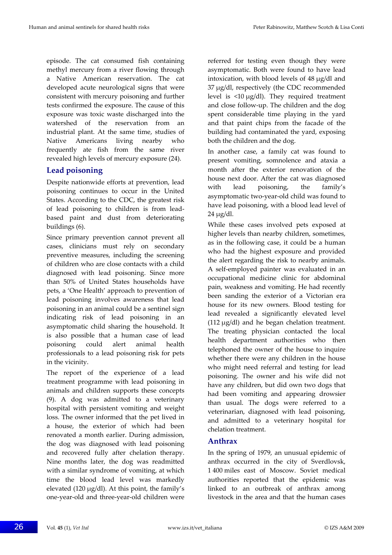episode. The cat consumed fish containing methyl mercury from a river flowing through a Native American reservation. The cat developed acute neurological signs that were consistent with mercury poisoning and further tests confirmed the exposure. The cause of this exposure was toxic waste discharged into the watershed of the reservation from an industrial plant. At the same time, studies of Native Americans living nearby who frequently ate fish from the same river revealed high levels of mercury exposure (24).

### **Lead poisoning**

Despite nationwide efforts at prevention, lead poisoning continues to occur in the United States. According to the CDC, the greatest risk of lead poisoning to children is from lead‐ based paint and dust from deteriorating buildings (6).

Since primary prevention cannot prevent all cases, clinicians must rely on secondary preventive measures, including the screening of children who are close contacts with a child diagnosed with lead poisoning. Since more than 50% of United States households have pets, a 'One Health' approach to prevention of lead poisoning involves awareness that lead poisoning in an animal could be a sentinel sign indicating risk of lead poisoning in an asymptomatic child sharing the household. It is also possible that a human case of lead poisoning could alert animal health professionals to a lead poisoning risk for pets in the vicinity.

The report of the experience of a lead treatment programme with lead poisoning in animals and children supports these concepts (9). A dog was admitted to a veterinary hospital with persistent vomiting and weight loss. The owner informed that the pet lived in a house, the exterior of which had been renovated a month earlier. During admission, the dog was diagnosed with lead poisoning and recovered fully after chelation therapy. Nine months later, the dog was readmitted with a similar syndrome of vomiting, at which time the blood lead level was markedly elevated (120 μg/dl). At this point, the family's one‐year‐old and three‐year‐old children were referred for testing even though they were asymptomatic. Both were found to have lead intoxication, with blood levels of 48 μg/dl and 37 μg/dl, respectively (the CDC recommended level is <10 μg/dl). They required treatment and close follow‐up. The children and the dog spent considerable time playing in the yard and that paint chips from the facade of the building had contaminated the yard, exposing both the children and the dog.

In another case, a family cat was found to present vomiting, somnolence and ataxia a month after the exterior renovation of the house next door. After the cat was diagnosed with lead poisoning, the family's asymptomatic two‐year‐old child was found to have lead poisoning, with a blood lead level of 24 μg/dl.

While these cases involved pets exposed at higher levels than nearby children, sometimes, as in the following case, it could be a human who had the highest exposure and provided the alert regarding the risk to nearby animals. A self‐employed painter was evaluated in an occupational medicine clinic for abdominal pain, weakness and vomiting. He had recently been sanding the exterior of a Victorian era house for its new owners. Blood testing for lead revealed a significantly elevated level (112 μg/dl) and he began chelation treatment. The treating physician contacted the local health department authorities who then telephoned the owner of the house to inquire whether there were any children in the house who might need referral and testing for lead poisoning. The owner and his wife did not have any children, but did own two dogs that had been vomiting and appearing drowsier than usual. The dogs were referred to a veterinarian, diagnosed with lead poisoning, and admitted to a veterinary hospital for chelation treatment.

#### **Anthrax**

In the spring of 1979, an unusual epidemic of anthrax occurred in the city of Sverdlovsk, 1 400 miles east of Moscow. Soviet medical authorities reported that the epidemic was linked to an outbreak of anthrax among livestock in the area and that the human cases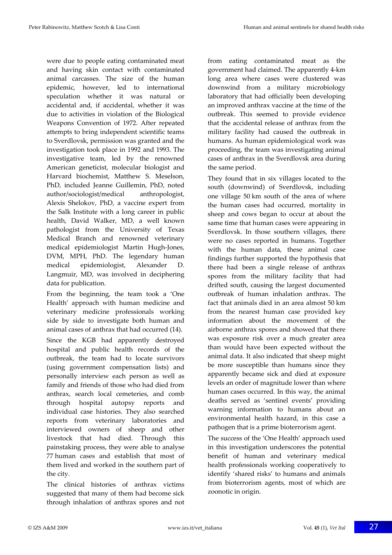were due to people eating contaminated meat and having skin contact with contaminated animal carcasses. The size of the human epidemic, however, led to international speculation whether it was natural or accidental and, if accidental, whether it was due to activities in violation of the Biological Weapons Convention of 1972. After repeated attempts to bring independent scientific teams to Sverdlovsk, permission was granted and the investigation took place in 1992 and 1993. The investigative team, led by the renowned American geneticist, molecular biologist and Harvard biochemist, Matthew S. Meselson, PhD, included Jeanne Guillemin, PhD, noted author/sociologist/medical anthropologist, Alexis Shelokov, PhD, a vaccine expert from the Salk Institute with a long career in public health, David Walker, MD, a well known pathologist from the University of Texas Medical Branch and renowned veterinary medical epidemiologist Martin Hugh‐Jones, DVM, MPH, PhD. The legendary human medical epidemiologist, Alexander D. Langmuir, MD, was involved in deciphering data for publication.

From the beginning, the team took a 'One Health' approach with human medicine and veterinary medicine professionals working side by side to investigate both human and animal cases of anthrax that had occurred (14).

Since the KGB had apparently destroyed hospital and public health records of the outbreak, the team had to locate survivors (using government compensation lists) and personally interview each person as well as family and friends of those who had died from anthrax, search local cemeteries, and comb through hospital autopsy reports and individual case histories. They also searched reports from veterinary laboratories and interviewed owners of sheep and other livestock that had died. Through this painstaking process, they were able to analyse 77 human cases and establish that most of them lived and worked in the southern part of the city.

The clinical histories of anthrax victims suggested that many of them had become sick through inhalation of anthrax spores and not from eating contaminated meat as the government had claimed. The apparently 4‐km long area where cases were clustered was downwind from a military microbiology laboratory that had officially been developing an improved anthrax vaccine at the time of the outbreak. This seemed to provide evidence that the accidental release of anthrax from the military facility had caused the outbreak in humans. As human epidemiological work was proceeding, the team was investigating animal cases of anthrax in the Sverdlovsk area during the same period.

They found that in six villages located to the south (downwind) of Sverdlovsk, including one village 50 km south of the area of where the human cases had occurred, mortality in sheep and cows began to occur at about the same time that human cases were appearing in Sverdlovsk. In those southern villages, there were no cases reported in humans. Together with the human data, these animal case findings further supported the hypothesis that there had been a single release of anthrax spores from the military facility that had drifted south, causing the largest documented outbreak of human inhalation anthrax. The fact that animals died in an area almost 50 km from the nearest human case provided key information about the movement of the airborne anthrax spores and showed that there was exposure risk over a much greater area than would have been expected without the animal data. It also indicated that sheep might be more susceptible than humans since they apparently became sick and died at exposure levels an order of magnitude lower than where human cases occurred. In this way, the animal deaths served as 'sentinel events' providing warning information to humans about an environmental health hazard, in this case a pathogen that is a prime bioterrorism agent.

The success of the 'One Health' approach used in this investigation underscores the potential benefit of human and veterinary medical health professionals working cooperatively to identify 'shared risks' to humans and animals from bioterrorism agents, most of which are zoonotic in origin.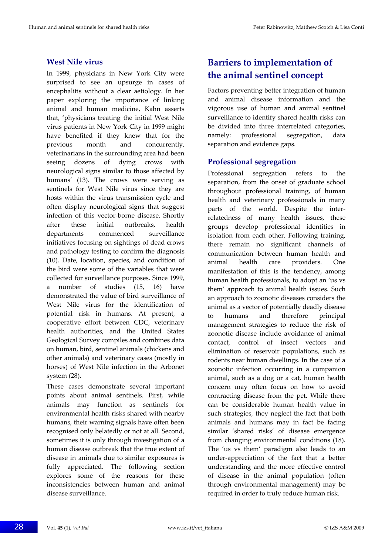#### **West Nile virus**

In 1999, physicians in New York City were surprised to see an upsurge in cases of encephalitis without a clear aetiology. In her paper exploring the importance of linking animal and human medicine, Kahn asserts that, 'physicians treating the initial West Nile virus patients in New York City in 1999 might have benefited if they knew that for the previous month and concurrently, veterinarians in the surrounding area had been seeing dozens of dying crows with neurological signs similar to those affected by humans' (13). The crows were serving as sentinels for West Nile virus since they are hosts within the virus transmission cycle and often display neurological signs that suggest infection of this vector-borne disease. Shortly after these initial outbreaks, health departments commenced surveillance initiatives focusing on sightings of dead crows and pathology testing to confirm the diagnosis (10). Date, location, species, and condition of the bird were some of the variables that were collected for surveillance purposes. Since 1999, a number of studies (15, 16) have demonstrated the value of bird surveillance of West Nile virus for the identification of potential risk in humans. At present, a cooperative effort between CDC, veterinary health authorities, and the United States Geological Survey compiles and combines data on human, bird, sentinel animals (chickens and other animals) and veterinary cases (mostly in horses) of West Nile infection in the Arbonet system (28).

These cases demonstrate several important points about animal sentinels. First, while animals may function as sentinels for environmental health risks shared with nearby humans, their warning signals have often been recognised only belatedly or not at all. Second, sometimes it is only through investigation of a human disease outbreak that the true extent of disease in animals due to similar exposures is fully appreciated. The following section explores some of the reasons for these inconsistencies between human and animal disease surveillance.

# **Barriers to implementation of the animal sentinel concept**

Factors preventing better integration of human and animal disease information and the vigorous use of human and animal sentinel surveillance to identify shared health risks can be divided into three interrelated categories, namely: professional segregation, data separation and evidence gaps.

### **Professional segregation**

Professional segregation refers to the separation, from the onset of graduate school throughout professional training, of human health and veterinary professionals in many parts of the world. Despite the interrelatedness of many health issues, these groups develop professional identities in isolation from each other. Following training, there remain no significant channels of communication between human health and animal health care providers. One manifestation of this is the tendency, among human health professionals, to adopt an 'us vs them' approach to animal health issues. Such an approach to zoonotic diseases considers the animal as a vector of potentially deadly disease to humans and therefore principal management strategies to reduce the risk of zoonotic disease include avoidance of animal contact, control of insect vectors and elimination of reservoir populations, such as rodents near human dwellings. In the case of a zoonotic infection occurring in a companion animal, such as a dog or a cat, human health concern may often focus on how to avoid contracting disease from the pet. While there can be considerable human health value in such strategies, they neglect the fact that both animals and humans may in fact be facing similar 'shared risks' of disease emergence from changing environmental conditions (18). The 'us vs them' paradigm also leads to an under‐appreciation of the fact that a better understanding and the more effective control of disease in the animal population (often through environmental management) may be required in order to truly reduce human risk.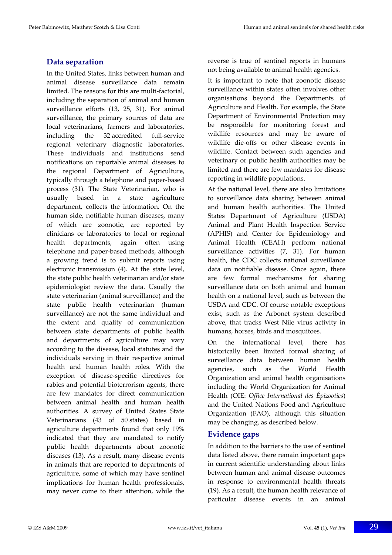### **Data separation**

In the United States, links between human and animal disease surveillance data remain limited. The reasons for this are multi‐factorial, including the separation of animal and human surveillance efforts (13, 25, 31). For animal surveillance, the primary sources of data are local veterinarians, farmers and laboratories, including the 32 accredited full-service regional veterinary diagnostic laboratories. These individuals and institutions send notifications on reportable animal diseases to the regional Department of Agriculture, typically through a telephone and paper‐based process (31). The State Veterinarian, who is usually based in a state agriculture department, collects the information. On the human side, notifiable human diseases, many of which are zoonotic, are reported by clinicians or laboratories to local or regional health departments, again often using telephone and paper‐based methods, although a growing trend is to submit reports using electronic transmission (4). At the state level, the state public health veterinarian and/or state epidemiologist review the data. Usually the state veterinarian (animal surveillance) and the state public health veterinarian (human surveillance) are not the same individual and the extent and quality of communication between state departments of public health and departments of agriculture may vary according to the disease, local statutes and the individuals serving in their respective animal health and human health roles. With the exception of disease‐specific directives for rabies and potential bioterrorism agents, there are few mandates for direct communication between animal health and human health authorities. A survey of United States State Veterinarians (43 of 50 states) based in agriculture departments found that only 19% indicated that they are mandated to notify public health departments about zoonotic diseases (13). As a result, many disease events in animals that are reported to departments of agriculture, some of which may have sentinel implications for human health professionals, may never come to their attention, while the

reverse is true of sentinel reports in humans not being available to animal health agencies.

It is important to note that zoonotic disease surveillance within states often involves other organisations beyond the Departments of Agriculture and Health. For example, the State Department of Environmental Protection may be responsible for monitoring forest and wildlife resources and may be aware of wildlife die‐offs or other disease events in wildlife. Contact between such agencies and veterinary or public health authorities may be limited and there are few mandates for disease reporting in wildlife populations.

At the national level, there are also limitations to surveillance data sharing between animal and human health authorities. The United States Department of Agriculture (USDA) Animal and Plant Health Inspection Service (APHIS) and Center for Epidemiology and Animal Health (CEAH) perform national surveillance activities (7, 31). For human health, the CDC collects national surveillance data on notifiable disease. Once again, there are few formal mechanisms for sharing surveillance data on both animal and human health on a national level, such as between the USDA and CDC. Of course notable exceptions exist, such as the Arbonet system described above, that tracks West Nile virus activity in humans, horses, birds and mosquitoes.

On the international level, there has historically been limited formal sharing of surveillance data between human health agencies, such as the World Health Organization and animal health organisations including the World Organization for Animal Health (OIE: *Office International des Épizooties*) and the United Nations Food and Agriculture Organization (FAO), although this situation may be changing, as described below.

#### **Evidence gaps**

In addition to the barriers to the use of sentinel data listed above, there remain important gaps in current scientific understanding about links between human and animal disease outcomes in response to environmental health threats (19). As a result, the human health relevance of particular disease events in an animal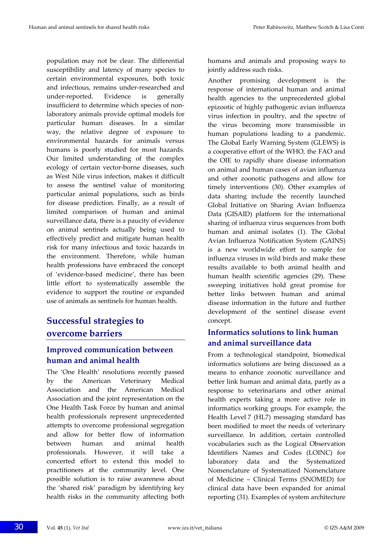population may not be clear. The differential susceptibility and latency of many species to certain environmental exposures, both toxic and infectious, remains under‐researched and under‐reported. Evidence is generally insufficient to determine which species of nonlaboratory animals provide optimal models for particular human diseases. In a similar way, the relative degree of exposure to environmental hazards for animals versus humans is poorly studied for most hazards. Our limited understanding of the complex ecology of certain vector‐borne diseases, such as West Nile virus infection, makes it difficult to assess the sentinel value of monitoring particular animal populations, such as birds for disease prediction. Finally, as a result of limited comparison of human and animal surveillance data, there is a paucity of evidence on animal sentinels actually being used to effectively predict and mitigate human health risk for many infectious and toxic hazards in the environment. Therefore, while human health professions have embraced the concept of 'evidence‐based medicine', there has been little effort to systematically assemble the evidence to support the routine or expanded use of animals as sentinels for human health.

## **Successful strategies to overcome barriers**

### **Improved communication between human and animal health**

The 'One Health' resolutions recently passed by the American Veterinary Medical Association and the American Medical Association and the joint representation on the One Health Task Force by human and animal health professionals represent unprecedented attempts to overcome professional segregation and allow for better flow of information between human and animal health professionals. However, it will take a concerted effort to extend this model to practitioners at the community level. One possible solution is to raise awareness about the 'shared risk' paradigm by identifying key health risks in the community affecting both

humans and animals and proposing ways to jointly address such risks.

Another promising development is the response of international human and animal health agencies to the unprecedented global epizootic of highly pathogenic avian influenza virus infection in poultry, and the spectre of the virus becoming more transmissible in human populations leading to a pandemic. The Global Early Warning System (GLEWS) is a cooperative effort of the WHO, the FAO and the OIE to rapidly share disease information on animal and human cases of avian influenza and other zoonotic pathogens and allow for timely interventions (30). Other examples of data sharing include the recently launched Global Initiative on Sharing Avian Influenza Data (GISAID) platform for the international sharing of influenza virus sequences from both human and animal isolates (1). The Global Avian Influenza Notification System (GAINS) is a new worldwide effort to sample for influenza viruses in wild birds and make these results available to both animal health and human health scientific agencies (29). These sweeping initiatives hold great promise for better links between human and animal disease information in the future and further development of the sentinel disease event concept.

## **Informatics solutions to link human and animal surveillance data**

From a technological standpoint, biomedical informatics solutions are being discussed as a means to enhance zoonotic surveillance and better link human and animal data, partly as a response to veterinarians and other animal health experts taking a more active role in informatics working groups. For example, the Health Level 7 (HL7) messaging standard has been modified to meet the needs of veterinary surveillance. In addition, certain controlled vocabularies such as the Logical Observation Identifiers Names and Codes (LOINC) for laboratory data and the Systematized Nomenclature of Systematized Nomenclature of Medicine – Clinical Terms (SNOMED) for clinical data have been expanded for animal reporting (31). Examples of system architecture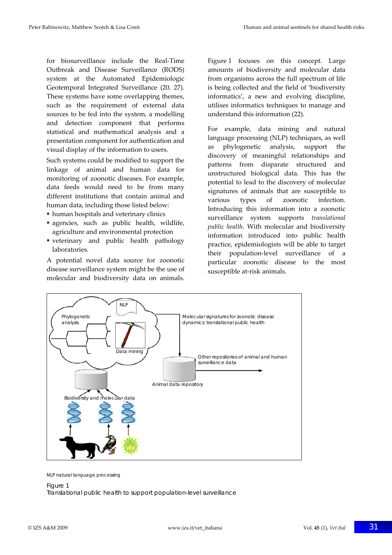for biosurveillance include the Real‐Time Outbreak and Disease Surveillance (RODS) system at the Automated Epidemiologic Geotemporal Integrated Surveillance (20, 27). These systems have some overlapping themes, such as the requirement of external data sources to be fed into the system, a modelling and detection component that performs statistical and mathematical analysis and a presentation component for authentication and visual display of the information to users.

Such systems could be modified to support the linkage of animal and human data for monitoring of zoonotic diseases. For example, data feeds would need to be from many different institutions that contain animal and human data, including those listed below:

- human hospitals and veterinary clinics
- agencies, such as public health, wildlife, agriculture and environmental protection
- veterinary and public health pathology laboratories.

A potential novel data source for zoonotic disease surveillance system might be the use of molecular and biodiversity data on animals.

Figure 1 focuses on this concept. Large amounts of biodiversity and molecular data from organisms across the full spectrum of life is being collected and the field of 'biodiversity informatics', a new and evolving discipline, utilises informatics techniques to manage and understand this information (22).

For example, data mining and natural language processing (NLP) techniques, as well as phylogenetic analysis, support the discovery of meaningful relationships and patterns from disparate structured and unstructured biological data. This has the potential to lead to the discovery of molecular signatures of animals that are susceptible to various types of zoonotic infection. Introducing this information into a zoonotic surveillance system supports *translational public health*. With molecular and biodiversity information introduced into public health practice, epidemiologists will be able to target their population‐level surveillance of a particular zoonotic disease to the most susceptible at-risk animals.



NLP natural language processing

#### Figure 1

Translational public health to support population-level surveillance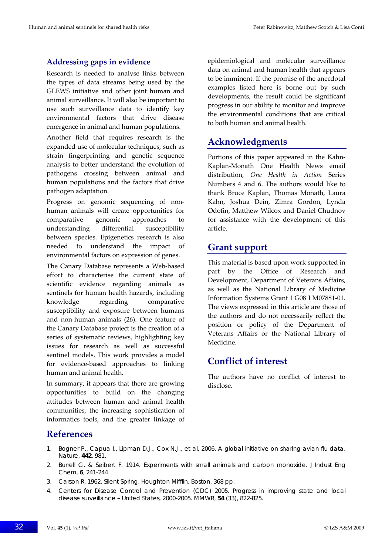### **Addressing gaps in evidence**

Research is needed to analyse links between the types of data streams being used by the GLEWS initiative and other joint human and animal surveillance. It will also be important to use such surveillance data to identify key environmental factors that drive disease emergence in animal and human populations.

Another field that requires research is the expanded use of molecular techniques, such as strain fingerprinting and genetic sequence analysis to better understand the evolution of pathogens crossing between animal and human populations and the factors that drive pathogen adaptation.

Progress on genomic sequencing of nonhuman animals will create opportunities for comparative genomic approaches to understanding differential susceptibility between species. Epigenetics research is also needed to understand the impact of environmental factors on expression of genes.

The Canary Database represents a Web‐based effort to characterise the current state of scientific evidence regarding animals as sentinels for human health hazards, including knowledge regarding comparative susceptibility and exposure between humans and non‐human animals (26). One feature of the Canary Database project is the creation of a series of systematic reviews, highlighting key issues for research as well as successful sentinel models. This work provides a model for evidence-based approaches to linking human and animal health.

In summary, it appears that there are growing opportunities to build on the changing attitudes between human and animal health communities, the increasing sophistication of informatics tools, and the greater linkage of epidemiological and molecular surveillance data on animal and human health that appears to be imminent. If the promise of the anecdotal examples listed here is borne out by such developments, the result could be significant progress in our ability to monitor and improve the environmental conditions that are critical to both human and animal health.

## **Acknowledgments**

Portions of this paper appeared in the Kahn‐ Kaplan‐Monath One Health News email distribution, *One Health in Action* Series Numbers 4 and 6. The authors would like to thank Bruce Kaplan, Thomas Monath, Laura Kahn, Joshua Dein, Zimra Gordon, Lynda Odofin, Matthew Wilcox and Daniel Chudnov for assistance with the development of this article.

## **Grant support**

This material is based upon work supported in part by the Office of Research and Development, Department of Veterans Affairs, as well as the National Library of Medicine Information Systems Grant 1 G08 LM07881‐01. The views expressed in this article are those of the authors and do not necessarily reflect the position or policy of the Department of Veterans Affairs or the National Library of Medicine.

## **Conflict of interest**

The authors have no conflict of interest to disclose.

## **References**

- 1. Bogner P., Capua I., Lipman D.J., Cox N.J., *et al.* 2006. A global initiative on sharing avian flu data. *Nature*, **442**, 981.
- 2. Burrell G. & Seibert F. 1914. Experiments with small animals and carbon monoxide. *J Indust Eng Chem*, **6**, 241-244.
- 3. Carson R. 1962. Silent Spring. Houghton Mifflin, Boston, 368 pp.
- 4. Centers for Disease Control and Prevention (CDC) 2005. Progress in improving state and local disease surveillance – United States, 2000-2005. *MMWR*, **54** (33), 822-825.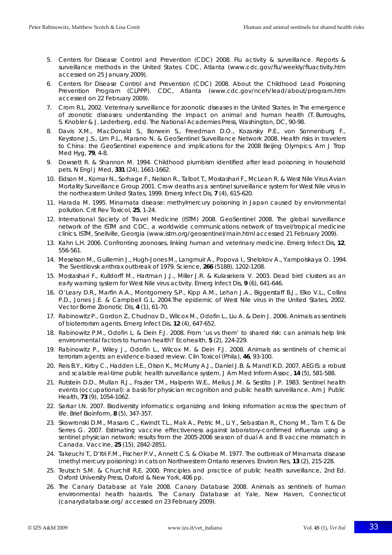- 5. Centers for Disease Control and Prevention (CDC) 2008. Flu activity & surveillance. Reports & surveillance methods in the United States. CDC, Atlanta (www.cdc.gov/flu/weekly/fluactivity.htm accessed on 25 January 2009).
- 6. Centers for Disease Control and Prevention (CDC) 2008. About the Childhood Lead Poisoning Prevention Program (CLPPP). CDC, Atlanta (www.cdc.gov/nceh/lead/about/program.htm accessed on 22 February 2009).
- 7. Crom R.L. 2002. Veterinary surveillance for zoonotic diseases in the United States. *In* The emergence of zoonotic diseases: understanding the impact on animal and human health (T. Burroughs, S. Knobler & J. Lederberg, eds). The National Academies Press, Washington, DC, 90-98.
- 8. Davis X.M., MacDonald S., Borwein S., Freedman D.O., Kozarsky P.E., von Sonnenburg F., Keystone J.S., Lim P.L., Marano N. & GeoSentinel Surveillance Network 2008. Health risks in travelers to China: the GeoSentinel experience and implications for the 2008 Beijing Olympics. *Am J Trop Med Hyg*, **79**, 4-8.
- 9. Dowsett R. & Shannon M. 1994. Childhood plumbism identified after lead poisoning in household pets. *N Engl J Med*, **331** (24), 1661-1662.
- 10. Eidson M., Komar N., Sorhage F., Nelson R., Talbot T., Mostashari F., McLean R. & West Nile Virus Avian Mortality Surveillance Group 2001. Crow deaths as a sentinel surveillance system for West Nile virus in the northeastern United States, 1999. *Emerg Infect Dis*, **7** (4), 615-620.
- 11. Harada M. 1995. Minamata disease: methylmercury poisoning in Japan caused by environmental pollution. *Crit Rev Toxicol*, **25**, 1-24.
- 12. International Society of Travel Medicine (ISTM) 2008. GeoSentinel 2008. The global surveillance network of the ISTM and CDC, a worldwide communications network of travel/tropical medicine clinics. ISTM, Snellville, Georgia (www.istm.org/geosentinel/main.html accessed 21 February 2009).
- 13. Kahn L.H. 2006. Confronting zoonoses, linking human and veterinary medicine. *Emerg Infect Dis*, **12**, 556-561.
- 14. Meselson M., Guillemin J., Hugh-Jones M., Langmuir A., Popova I., Shelokov A., Yampolskaya O. 1994. The Sverdlovsk anthrax outbreak of 1979. *Science*, **266** (5188), 1202-1208.
- 15. Mostashari F., Kulldorff M., Hartman J.J., Miller J.R. & Kulasekera V. 2003. Dead bird clusters as an early warning system for West Nile virus activity. *Emerg Infect Dis*, **9** (6), 641-646.
- 16. O'Leary D.R., Marfin A.A., Montgomery S.P., Kipp A.M., Lehan J.A., Biggerstaff B.J., Elko V.L., Collins P.D., Jones J.E. & Campbell G.L. 2004.The epidemic of West Nile virus in the United States, 2002. *Vector Borne Zoonotic Dis*, **4** (1), 61-70.
- 17. Rabinowitz P., Gordon Z., Chudnov D., Wilcox M., Odofin L., Liu A. & Dein J. 2006. Animals as sentinels of bioterrorism agents. *Emerg Infect Dis*, **12** (4), 647-652.
- 18. Rabinowitz P.M., Odofin L. & Dein F.J. 2008. From 'us vs them' to shared risk: can animals help link environmental factors to human health? *Ecohealth*, **5** (2), 224-229.
- 19. Rabinowitz P., Wiley J., Odofin L., Wilcox M. & Dein F.J. 2008. Animals as sentinels of chemical terrorism agents: an evidence-based review. *Clin Toxicol (Phila)*, **46**, 93-100.
- 20. Reis B.Y., Kirby C., Hadden L.E., Olson K., McMurry A.J., Daniel J.B. & Mandl K.D. 2007. AEGIS: a robust and scalable real-time public health surveillance system. *J Am Med Inform Assoc*, **14** (5), 581-588.
- 21. Rutstein D.D., Mullan R.J., Frazier T.M., Halperin W.E., Melius J.M. & Sestito J.P. 1983. Sentinel health events (occupational): a basis for physician recognition and public health surveillance. *Am J Public Health*, **73** (9), 1054-1062.
- 22. Sarkar I.N. 2007. Biodiversity informatics: organizing and linking information across the spectrum of life. *Brief Bioinform*, **8** (5), 347-357.
- 23. Skowronski D.M., Masaro C., Kwindt T.L., Mak A., Petric M., Li Y., Sebastian R., Chong M., Tam T. & De Serres G. 2007. Estimating vaccine effectiveness against laboratory-confirmed influenza using a sentinel physician network: results from the 2005-2006 season of dual A and B vaccine mismatch in Canada. *Vaccine*, **25** (15), 2842-2851.
- 24. Takeuchi T., D'Itri F.M., Fischer P.V., Annett C.S. & Okabe M. 1977. The outbreak of Minamata disease (methyl mercury poisoning) in cats on Northwestern Ontario reserves. *Environ Res*, **13** (2), 215-228.
- 25. Teutsch S.M. & Churchill R.E. 2000. Principles and practice of public health surveillance, 2nd Ed. Oxford University Press, Oxford & New York, 406 pp.
- 26. The Canary Database at Yale 2008. Canary Database 2008. Animals as sentinels of human environmental health hazards. The Canary Database at Yale, New Haven, Connecticut (canarydatabase.org/ accessed on 23 February 2009).